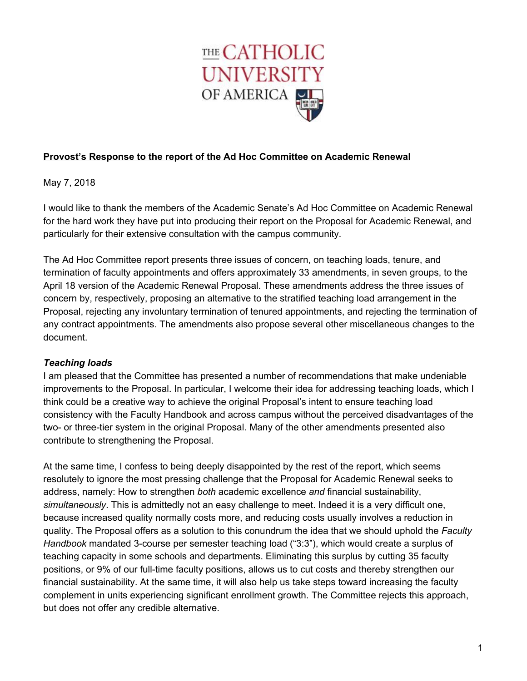

### **Provost's Response to the report of the Ad Hoc Committee on Academic Renewal**

May 7, 2018

I would like to thank the members of the Academic Senate's Ad Hoc Committee on Academic Renewal for the hard work they have put into producing their report on the Proposal for Academic Renewal, and particularly for their extensive consultation with the campus community.

The Ad Hoc Committee report presents three issues of concern, on teaching loads, tenure, and termination of faculty appointments and offers approximately 33 amendments, in seven groups, to the April 18 version of the Academic Renewal Proposal. These amendments address the three issues of concern by, respectively, proposing an alternative to the stratified teaching load arrangement in the Proposal, rejecting any involuntary termination of tenured appointments, and rejecting the termination of any contract appointments. The amendments also propose several other miscellaneous changes to the document.

### *Teaching loads*

I am pleased that the Committee has presented a number of recommendations that make undeniable improvements to the Proposal. In particular, I welcome their idea for addressing teaching loads, which I think could be a creative way to achieve the original Proposal's intent to ensure teaching load consistency with the Faculty Handbook and across campus without the perceived disadvantages of the two- or three-tier system in the original Proposal. Many of the other amendments presented also contribute to strengthening the Proposal.

At the same time, I confess to being deeply disappointed by the rest of the report, which seems resolutely to ignore the most pressing challenge that the Proposal for Academic Renewal seeks to address, namely: How to strengthen *both* academic excellence *and* financial sustainability, *simultaneously*. This is admittedly not an easy challenge to meet. Indeed it is a very difficult one, because increased quality normally costs more, and reducing costs usually involves a reduction in quality. The Proposal offers as a solution to this conundrum the idea that we should uphold the *Faculty Handbook* mandated 3-course per semester teaching load ("3:3"), which would create a surplus of teaching capacity in some schools and departments. Eliminating this surplus by cutting 35 faculty positions, or 9% of our full-time faculty positions, allows us to cut costs and thereby strengthen our financial sustainability. At the same time, it will also help us take steps toward increasing the faculty complement in units experiencing significant enrollment growth. The Committee rejects this approach, but does not offer any credible alternative.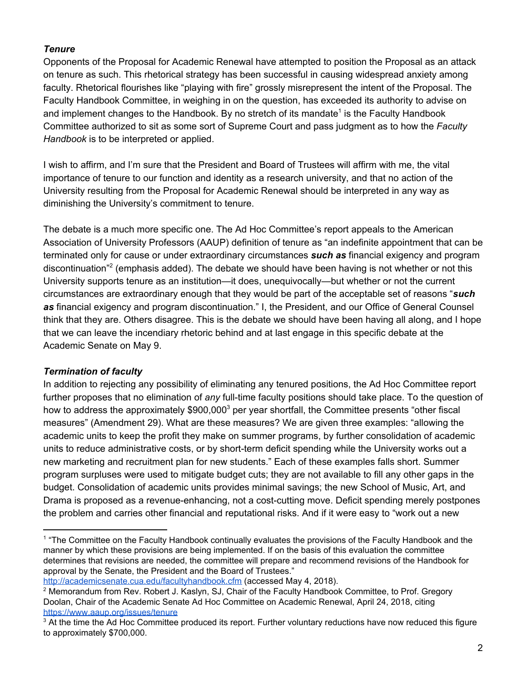### *Tenure*

Opponents of the Proposal for Academic Renewal have attempted to position the Proposal as an attack on tenure as such. This rhetorical strategy has been successful in causing widespread anxiety among faculty. Rhetorical flourishes like "playing with fire" grossly misrepresent the intent of the Proposal. The Faculty Handbook Committee, in weighing in on the question, has exceeded its authority to advise on and implement changes to the Handbook. By no stretch of its mandate<sup>1</sup> is the Faculty Handbook Committee authorized to sit as some sort of Supreme Court and pass judgment as to how the *Faculty Handbook* is to be interpreted or applied.

I wish to affirm, and I'm sure that the President and Board of Trustees will affirm with me, the vital importance of tenure to our function and identity as a research university, and that no action of the University resulting from the Proposal for Academic Renewal should be interpreted in any way as diminishing the University's commitment to tenure.

The debate is a much more specific one. The Ad Hoc Committee's report appeals to the American Association of University Professors (AAUP) definition of tenure as "an indefinite appointment that can be terminated only for cause or under extraordinary circumstances *such as* financial exigency and program discontinuation<sup>"2</sup> (emphasis added). The debate we should have been having is not whether or not this University supports tenure as an institution—it does, unequivocally—but whether or not the current circumstances are extraordinary enough that they would be part of the acceptable set of reasons "*such as* financial exigency and program discontinuation." I, the President, and our Office of General Counsel think that they are. Others disagree. This is the debate we should have been having all along, and I hope that we can leave the incendiary rhetoric behind and at last engage in this specific debate at the Academic Senate on May 9.

## *Termination of faculty*

In addition to rejecting any possibility of eliminating any tenured positions, the Ad Hoc Committee report further proposes that no elimination of *any* full-time faculty positions should take place. To the question of how to address the approximately \$900,000 $^3$  per year shortfall, the Committee presents "other fiscal measures" (Amendment 29). What are these measures? We are given three examples: "allowing the academic units to keep the profit they make on summer programs, by further consolidation of academic units to reduce administrative costs, or by short-term deficit spending while the University works out a new marketing and recruitment plan for new students." Each of these examples falls short. Summer program surpluses were used to mitigate budget cuts; they are not available to fill any other gaps in the budget. Consolidation of academic units provides minimal savings; the new School of Music, Art, and Drama is proposed as a revenue-enhancing, not a cost-cutting move. Deficit spending merely postpones the problem and carries other financial and reputational risks. And if it were easy to "work out a new

<sup>1</sup> "The Committee on the Faculty Handbook continually evaluates the provisions of the Faculty Handbook and the manner by which these provisions are being implemented. If on the basis of this evaluation the committee determines that revisions are needed, the committee will prepare and recommend revisions of the Handbook for approval by the Senate, the President and the Board of Trustees."

<http://academicsenate.cua.edu/facultyhandbook.cfm> (accessed May 4, 2018).

<sup>2</sup> Memorandum from Rev. Robert J. Kaslyn, SJ, Chair of the Faculty Handbook Committee, to Prof. Gregory Doolan, Chair of the Academic Senate Ad Hoc Committee on Academic Renewal, April 24, 2018, citing <https://www.aaup.org/issues/tenure>

<sup>&</sup>lt;sup>3</sup> At the time the Ad Hoc Committee produced its report. Further voluntary reductions have now reduced this figure to approximately \$700,000.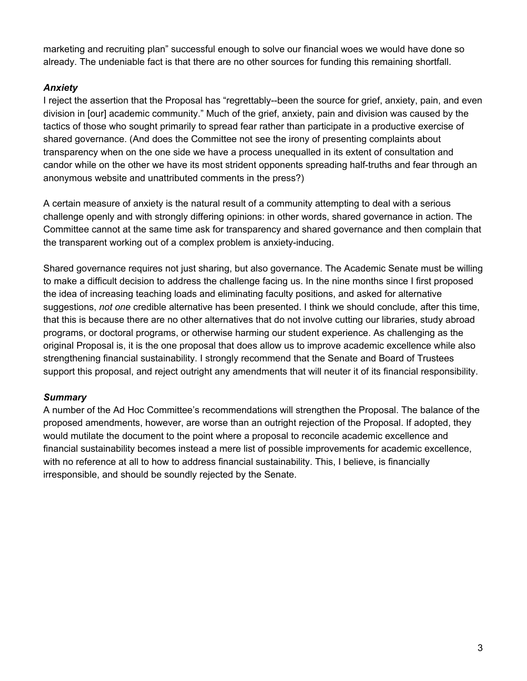marketing and recruiting plan" successful enough to solve our financial woes we would have done so already. The undeniable fact is that there are no other sources for funding this remaining shortfall.

## *Anxiety*

I reject the assertion that the Proposal has "regrettably--been the source for grief, anxiety, pain, and even division in [our] academic community." Much of the grief, anxiety, pain and division was caused by the tactics of those who sought primarily to spread fear rather than participate in a productive exercise of shared governance. (And does the Committee not see the irony of presenting complaints about transparency when on the one side we have a process unequalled in its extent of consultation and candor while on the other we have its most strident opponents spreading half-truths and fear through an anonymous website and unattributed comments in the press?)

A certain measure of anxiety is the natural result of a community attempting to deal with a serious challenge openly and with strongly differing opinions: in other words, shared governance in action. The Committee cannot at the same time ask for transparency and shared governance and then complain that the transparent working out of a complex problem is anxiety-inducing.

Shared governance requires not just sharing, but also governance. The Academic Senate must be willing to make a difficult decision to address the challenge facing us. In the nine months since I first proposed the idea of increasing teaching loads and eliminating faculty positions, and asked for alternative suggestions, *not one* credible alternative has been presented. I think we should conclude, after this time, that this is because there are no other alternatives that do not involve cutting our libraries, study abroad programs, or doctoral programs, or otherwise harming our student experience. As challenging as the original Proposal is, it is the one proposal that does allow us to improve academic excellence while also strengthening financial sustainability. I strongly recommend that the Senate and Board of Trustees support this proposal, and reject outright any amendments that will neuter it of its financial responsibility.

### *Summary*

A number of the Ad Hoc Committee's recommendations will strengthen the Proposal. The balance of the proposed amendments, however, are worse than an outright rejection of the Proposal. If adopted, they would mutilate the document to the point where a proposal to reconcile academic excellence and financial sustainability becomes instead a mere list of possible improvements for academic excellence, with no reference at all to how to address financial sustainability. This, I believe, is financially irresponsible, and should be soundly rejected by the Senate.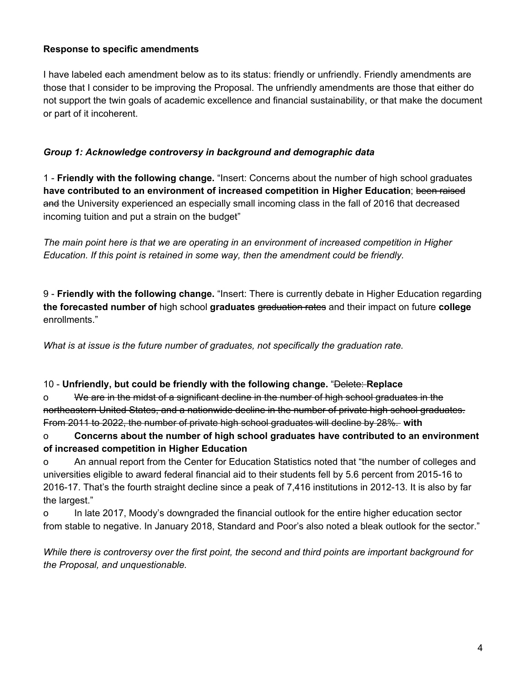#### **Response to specific amendments**

I have labeled each amendment below as to its status: friendly or unfriendly. Friendly amendments are those that I consider to be improving the Proposal. The unfriendly amendments are those that either do not support the twin goals of academic excellence and financial sustainability, or that make the document or part of it incoherent.

#### *Group 1: Acknowledge controversy in background and demographic data*

1 - **Friendly with the following change.** "Insert: Concerns about the number of high school graduates **have contributed to an environment of increased competition in Higher Education**; been raised and the University experienced an especially small incoming class in the fall of 2016 that decreased incoming tuition and put a strain on the budget"

*The main point here is that we are operating in an environment of increased competition in Higher Education. If this point is retained in some way, then the amendment could be friendly.*

9 - **Friendly with the following change.** "Insert: There is currently debate in Higher Education regarding **the forecasted number of** high school **graduates** graduation rates and their impact on future **college** enrollments."

*What is at issue is the future number of graduates, not specifically the graduation rate.*

#### 10 - **Unfriendly, but could be friendly with the following change.** "Delete: **Replace**

o We are in the midst of a significant decline in the number of high school graduates in the northeastern United States, and a nationwide decline in the number of private high school graduates. From 2011 to 2022, the number of private high school graduates will decline by 28%. **with**

o **Concerns about the number of high school graduates have contributed to an environment of increased competition in Higher Education**

o An annual report from the Center for Education Statistics noted that "the number of colleges and universities eligible to award federal financial aid to their students fell by 5.6 percent from 2015-16 to 2016-17. That's the fourth straight decline since a peak of 7,416 institutions in 2012-13. It is also by far the largest."

o In late 2017, Moody's downgraded the financial outlook for the entire higher education sector from stable to negative. In January 2018, Standard and Poor's also noted a bleak outlook for the sector."

*While there is controversy over the first point, the second and third points are important background for the Proposal, and unquestionable.*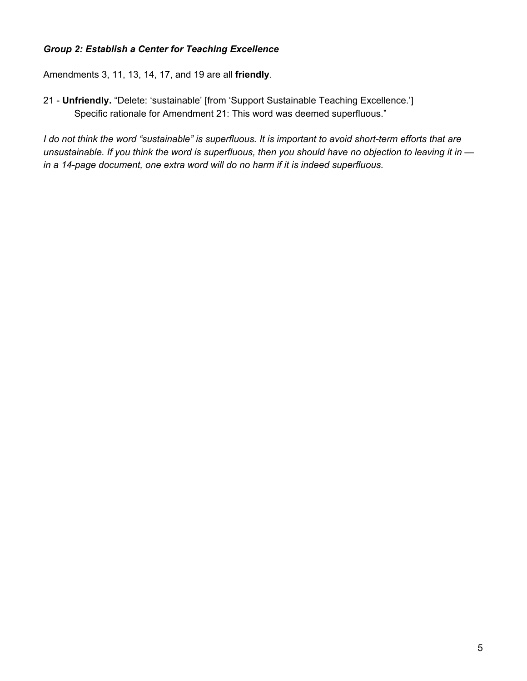#### *Group 2: Establish a Center for Teaching Excellence*

Amendments 3, 11, 13, 14, 17, and 19 are all **friendly**.

21 - **Unfriendly.** "Delete: 'sustainable' [from 'Support Sustainable Teaching Excellence.'] Specific rationale for Amendment 21: This word was deemed superfluous."

I do not think the word "sustainable" is superfluous. It is important to avoid short-term efforts that are unsustainable. If you think the word is superfluous, then you should have no objection to leaving it in *in a 14-page document, one extra word will do no harm if it is indeed superfluous.*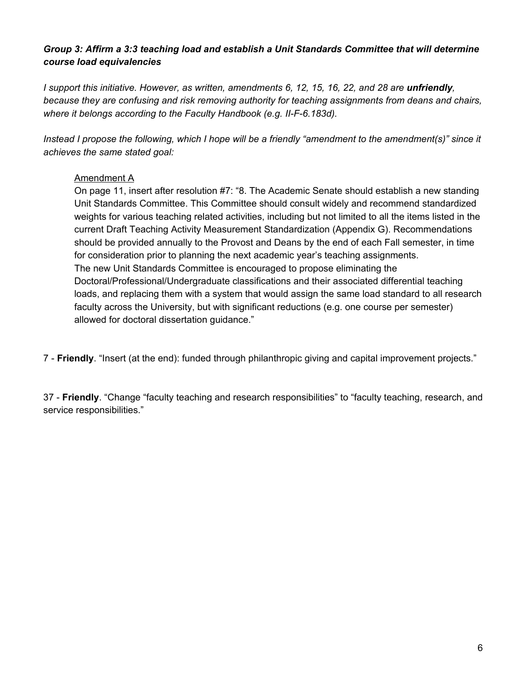### *Group 3: Affirm a 3:3 teaching load and establish a Unit Standards Committee that will determine course load equivalencies*

I support this initiative. However, as written, amendments 6, 12, 15, 16, 22, and 28 are unfriendly, *because they are confusing and risk removing authority for teaching assignments from deans and chairs, where it belongs according to the Faculty Handbook (e.g. II-F-6.183d).*

Instead I propose the following, which I hope will be a friendly "amendment to the amendment(s)" since it *achieves the same stated goal:*

### Amendment A

On page 11, insert after resolution #7: "8. The Academic Senate should establish a new standing Unit Standards Committee. This Committee should consult widely and recommend standardized weights for various teaching related activities, including but not limited to all the items listed in the current Draft Teaching Activity Measurement Standardization (Appendix G). Recommendations should be provided annually to the Provost and Deans by the end of each Fall semester, in time for consideration prior to planning the next academic year's teaching assignments. The new Unit Standards Committee is encouraged to propose eliminating the Doctoral/Professional/Undergraduate classifications and their associated differential teaching loads, and replacing them with a system that would assign the same load standard to all research faculty across the University, but with significant reductions (e.g. one course per semester) allowed for doctoral dissertation guidance."

7 - **Friendly**. "Insert (at the end): funded through philanthropic giving and capital improvement projects."

37 - **Friendly**. "Change "faculty teaching and research responsibilities" to "faculty teaching, research, and service responsibilities."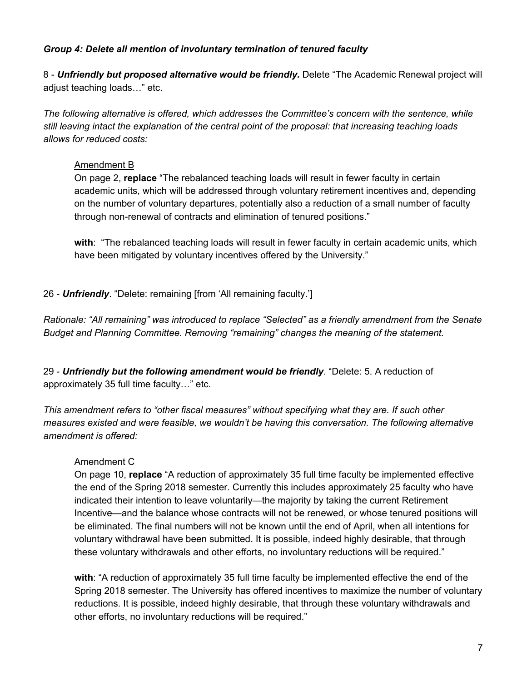### *Group 4: Delete all mention of involuntary termination of tenured faculty*

8 - *Unfriendly but proposed alternative would be friendly.* Delete "The Academic Renewal project will adjust teaching loads…" etc.

*The following alternative is offered, which addresses the Committee's concern with the sentence, while still leaving intact the explanation of the central point of the proposal: that increasing teaching loads allows for reduced costs:*

### Amendment B

On page 2, **replace** "The rebalanced teaching loads will result in fewer faculty in certain academic units, which will be addressed through voluntary retirement incentives and, depending on the number of voluntary departures, potentially also a reduction of a small number of faculty through non-renewal of contracts and elimination of tenured positions."

**with**: "The rebalanced teaching loads will result in fewer faculty in certain academic units, which have been mitigated by voluntary incentives offered by the University."

26 - *Unfriendly*. "Delete: remaining [from 'All remaining faculty.']

*Rationale: "All remaining" was introduced to replace "Selected" as a friendly amendment from the Senate Budget and Planning Committee. Removing "remaining" changes the meaning of the statement.*

29 - *Unfriendly but the following amendment would be friendly*. "Delete: 5. A reduction of approximately 35 full time faculty…" etc.

*This amendment refers to "other fiscal measures" without specifying what they are. If such other measures existed and were feasible, we wouldn't be having this conversation. The following alternative amendment is offered:*

## Amendment C

On page 10, **replace** "A reduction of approximately 35 full time faculty be implemented effective the end of the Spring 2018 semester. Currently this includes approximately 25 faculty who have indicated their intention to leave voluntarily—the majority by taking the current Retirement Incentive—and the balance whose contracts will not be renewed, or whose tenured positions will be eliminated. The final numbers will not be known until the end of April, when all intentions for voluntary withdrawal have been submitted. It is possible, indeed highly desirable, that through these voluntary withdrawals and other efforts, no involuntary reductions will be required."

**with**: "A reduction of approximately 35 full time faculty be implemented effective the end of the Spring 2018 semester. The University has offered incentives to maximize the number of voluntary reductions. It is possible, indeed highly desirable, that through these voluntary withdrawals and other efforts, no involuntary reductions will be required."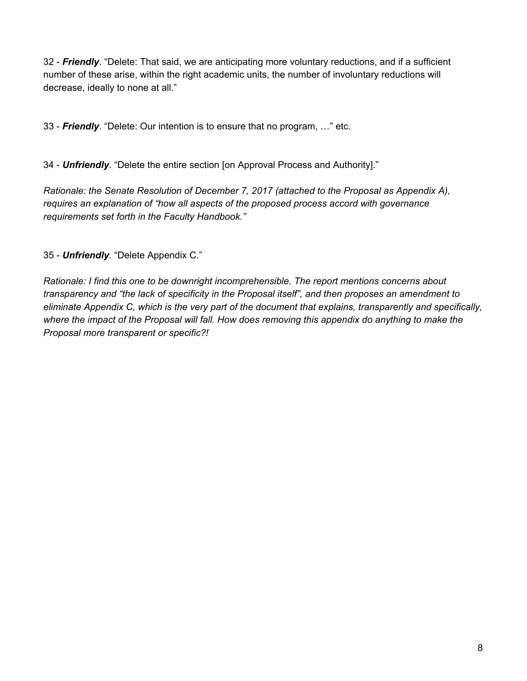32 - *Friendly*. "Delete: That said, we are anticipating more voluntary reductions, and if a sufficient number of these arise, within the right academic units, the number of involuntary reductions will decrease, ideally to none at all."

33 - *Friendly*. "Delete: Our intention is to ensure that no program, …" etc.

34 - *Unfriendly*. "Delete the entire section [on Approval Process and Authority]."

*Rationale: the Senate Resolution of December 7, 2017 (attached to the Proposal as Appendix A), requires an explanation of "how all aspects of the proposed process accord with governance requirements set forth in the Faculty Handbook."*

35 - *Unfriendly.* "Delete Appendix C."

*Rationale: I find this one to be downright incomprehensible. The report mentions concerns about transparency and "the lack of specificity in the Proposal itself", and then proposes an amendment to eliminate Appendix C, which is the very part of the document that explains, transparently and specifically,* where the impact of the Proposal will fall. How does removing this appendix do anything to make the *Proposal more transparent or specific?!*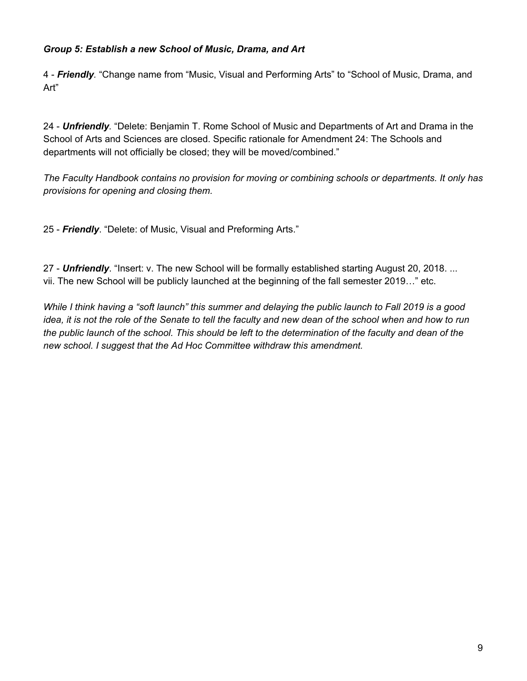### *Group 5: Establish a new School of Music, Drama, and Art*

4 - *Friendly.* "Change name from "Music, Visual and Performing Arts" to "School of Music, Drama, and Art"

24 - *Unfriendly.* "Delete: Benjamin T. Rome School of Music and Departments of Art and Drama in the School of Arts and Sciences are closed. Specific rationale for Amendment 24: The Schools and departments will not officially be closed; they will be moved/combined."

*The Faculty Handbook contains no provision for moving or combining schools or departments. It only has provisions for opening and closing them.*

25 - *Friendly*. "Delete: of Music, Visual and Preforming Arts."

27 - *Unfriendly*. "Insert: v. The new School will be formally established starting August 20, 2018. ... vii. The new School will be publicly launched at the beginning of the fall semester 2019…" etc.

While I think having a "soft launch" this summer and delaying the public launch to Fall 2019 is a good idea, it is not the role of the Senate to tell the faculty and new dean of the school when and how to run the public launch of the school. This should be left to the determination of the faculty and dean of the *new school. I suggest that the Ad Hoc Committee withdraw this amendment.*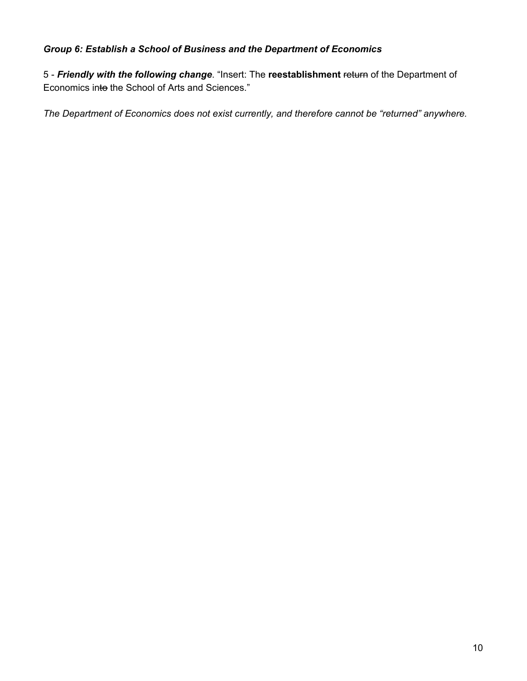# *Group 6: Establish a School of Business and the Department of Economics*

5 - *Friendly with the following change*. "Insert: The **reestablishment** return of the Department of Economics into the School of Arts and Sciences."

*The Department of Economics does not exist currently, and therefore cannot be "returned" anywhere.*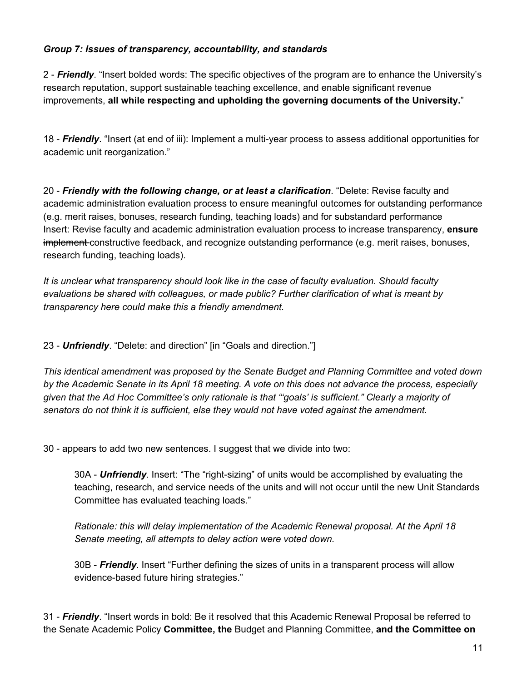### *Group 7: Issues of transparency, accountability, and standards*

2 - *Friendly*. "Insert bolded words: The specific objectives of the program are to enhance the University's research reputation, support sustainable teaching excellence, and enable significant revenue improvements, **all while respecting and upholding the governing documents of the University.**"

18 - *Friendly*. "Insert (at end of iii): Implement a multi-year process to assess additional opportunities for academic unit reorganization."

20 - *Friendly with the following change, or at least a clarification*. "Delete: Revise faculty and academic administration evaluation process to ensure meaningful outcomes for outstanding performance (e.g. merit raises, bonuses, research funding, teaching loads) and for substandard performance Insert: Revise faculty and academic administration evaluation process to increase transparency, **ensure** implement constructive feedback, and recognize outstanding performance (e.g. merit raises, bonuses, research funding, teaching loads).

*It is unclear what transparency should look like in the case of faculty evaluation. Should faculty evaluations be shared with colleagues, or made public? Further clarification of what is meant by transparency here could make this a friendly amendment.*

23 - *Unfriendly*. "Delete: and direction" [in "Goals and direction."]

*This identical amendment was proposed by the Senate Budget and Planning Committee and voted down* by the Academic Senate in its April 18 meeting. A vote on this does not advance the process, especially *given that the Ad Hoc Committee's only rationale is that "'goals' is sufficient." Clearly a majority of senators do not think it is sufficient, else they would not have voted against the amendment.*

30 - appears to add two new sentences. I suggest that we divide into two:

30A - *Unfriendly*. Insert: "The "right-sizing" of units would be accomplished by evaluating the teaching, research, and service needs of the units and will not occur until the new Unit Standards Committee has evaluated teaching loads."

*Rationale: this will delay implementation of the Academic Renewal proposal. At the April 18 Senate meeting, all attempts to delay action were voted down.*

30B - *Friendly*. Insert "Further defining the sizes of units in a transparent process will allow evidence-based future hiring strategies."

31 - *Friendly*. "Insert words in bold: Be it resolved that this Academic Renewal Proposal be referred to the Senate Academic Policy **Committee, the** Budget and Planning Committee, **and the Committee on**